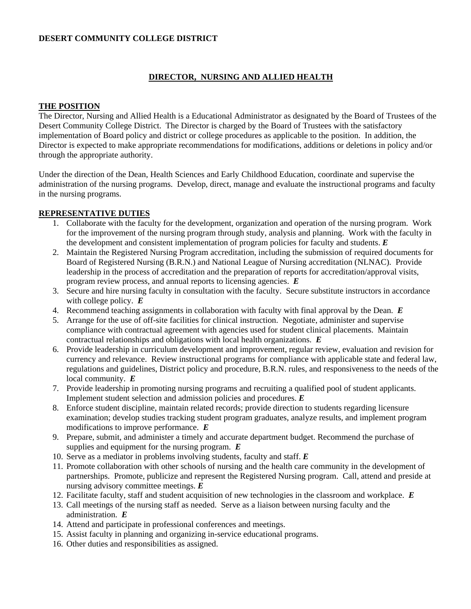# **DESERT COMMUNITY COLLEGE DISTRICT**

### **DIRECTOR, NURSING AND ALLIED HEALTH**

#### **THE POSITION**

The Director, Nursing and Allied Health is a Educational Administrator as designated by the Board of Trustees of the Desert Community College District. The Director is charged by the Board of Trustees with the satisfactory implementation of Board policy and district or college procedures as applicable to the position. In addition, the Director is expected to make appropriate recommendations for modifications, additions or deletions in policy and/or through the appropriate authority.

Under the direction of the Dean, Health Sciences and Early Childhood Education, coordinate and supervise the administration of the nursing programs. Develop, direct, manage and evaluate the instructional programs and faculty in the nursing programs.

# **REPRESENTATIVE DUTIES**

- 1. Collaborate with the faculty for the development, organization and operation of the nursing program. Work for the improvement of the nursing program through study, analysis and planning. Work with the faculty in the development and consistent implementation of program policies for faculty and students. *E*
- 2. Maintain the Registered Nursing Program accreditation, including the submission of required documents for Board of Registered Nursing (B.R.N.) and National League of Nursing accreditation (NLNAC). Provide leadership in the process of accreditation and the preparation of reports for accreditation/approval visits, program review process, and annual reports to licensing agencies. *E*
- 3. Secure and hire nursing faculty in consultation with the faculty. Secure substitute instructors in accordance with college policy. *E*
- 4. Recommend teaching assignments in collaboration with faculty with final approval by the Dean. *E*
- 5. Arrange for the use of off-site facilities for clinical instruction. Negotiate, administer and supervise compliance with contractual agreement with agencies used for student clinical placements. Maintain contractual relationships and obligations with local health organizations. *E*
- 6. Provide leadership in curriculum development and improvement, regular review, evaluation and revision for currency and relevance. Review instructional programs for compliance with applicable state and federal law, regulations and guidelines, District policy and procedure, B.R.N. rules, and responsiveness to the needs of the local community. *E*
- 7. Provide leadership in promoting nursing programs and recruiting a qualified pool of student applicants. Implement student selection and admission policies and procedures. *E*
- 8. Enforce student discipline, maintain related records; provide direction to students regarding licensure examination; develop studies tracking student program graduates, analyze results, and implement program modifications to improve performance. *E*
- 9. Prepare, submit, and administer a timely and accurate department budget. Recommend the purchase of supplies and equipment for the nursing program. *E*
- 10. Serve as a mediator in problems involving students, faculty and staff. *E*
- 11. Promote collaboration with other schools of nursing and the health care community in the development of partnerships. Promote, publicize and represent the Registered Nursing program. Call, attend and preside at nursing advisory committee meetings. *E*
- 12. Facilitate faculty, staff and student acquisition of new technologies in the classroom and workplace. *E*
- 13. Call meetings of the nursing staff as needed. Serve as a liaison between nursing faculty and the administration. *E*
- 14. Attend and participate in professional conferences and meetings.
- 15. Assist faculty in planning and organizing in-service educational programs.
- 16. Other duties and responsibilities as assigned.